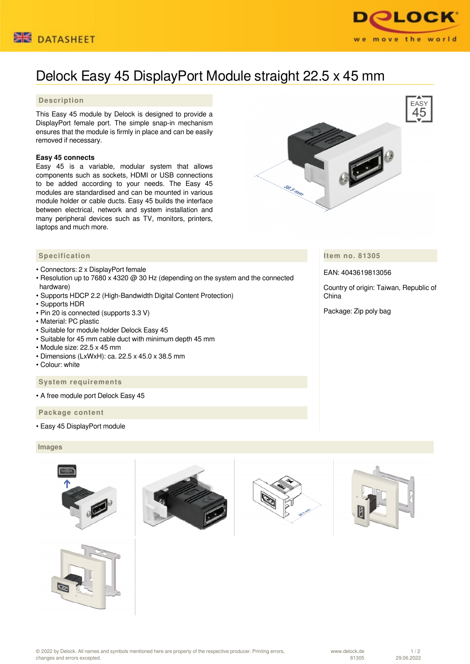



# Delock Easy 45 DisplayPort Module straight 22.5 x 45 mm

## **Description**

This Easy 45 module by Delock is designed to provide a DisplayPort female port. The simple snap-in mechanism ensures that the module is firmly in place and can be easily removed if necessary.

### **Easy 45 connects**

Easy 45 is a variable, modular system that allows components such as sockets, HDMI or USB connections to be added according to your needs. The Easy 45 modules are standardised and can be mounted in various module holder or cable ducts. Easy 45 builds the interface between electrical, network and system installation and many peripheral devices such as TV, monitors, printers, laptops and much more.



- Connectors: 2 x DisplayPort female
- Resolution up to 7680 x 4320 @ 30 Hz (depending on the system and the connected hardware)
- Supports HDCP 2.2 (High-Bandwidth Digital Content Protection)
- Supports HDR
- Pin 20 is connected (supports 3.3 V)
- Material: PC plastic
- Suitable for module holder Delock Easy 45
- Suitable for 45 mm cable duct with minimum depth 45 mm
- Module size: 22.5 x 45 mm
- Dimensions (LxWxH): ca. 22.5 x 45.0 x 38.5 mm
- Colour: white

#### **System requirements**

• A free module port Delock Easy 45

 **Package content**

• Easy 45 DisplayPort module

#### **Images**











**Item no. 81305**

EAN: 4043619813056

Country of origin: Taiwan, Republic of China

Package: Zip poly bag